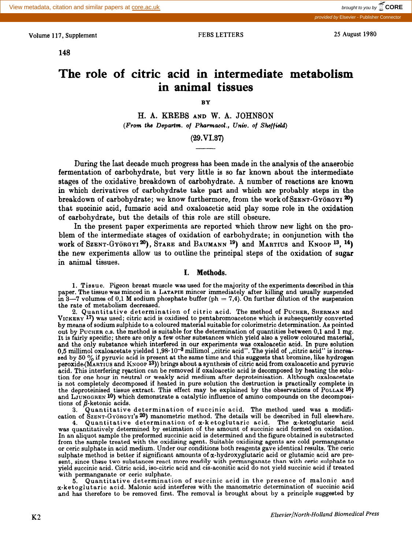Volume 117, Supplement FEBS LETTERS 25 August 1980

**148** 

provided by Elsevier - Pu

# **The role of citric acid in intermediate metabolism in animal tissues**

BY

H. A. KREBS AND W. A. JOHNSON *(Frm the Departs. of Phamaeol., Univ. of Sheffield)* 

# $(29.VI.37)$

During the last decade much progress has been made in the analysis of the anaerobic fermentation of carbohydrate, but very little is so far known about the intermediate stages of the oxidative breakdown of carbohydrate. A number of reactions are known in which derivatives of carbohydrate take part and which are probably steps in the breakdown of carbohydrate; we know furthermore, from the work of SzENT-GYÖRGYI  $^{20}$ ) that succinic acid, fumaric acid and oxaloacetic acid play some role in the oxidation of carbohydrate, but the details of this role are still obscure.

In the present paper experiments are reported which throw new light on the problem of the intermediate stages of oxidation of carbohydrate; in conjunction with the work of Szent-Györgyi<sup>20</sup>), Stare and Baumann<sup>19</sup>) and Martius and Knoop<sup>13</sup>, <sup>14</sup>) the new experiments allow us to outline the prinoipal steps of the oxidation of sugar in animal tissues.

### I. Methods.

1. Tissue. Pigeon breast muscle was used for the majority of the experiments described in this paper. The tissue was minced in a LATAPIE mincer immediately after killing and usually suspended in 3-7 volumes of 0,1 M sodium phosphate buffer (ph = 7,4). On further dilution of the suspension the rate of metabolism decreased.

2. Quantitative determination of citric acid. The method of PUCHER, SHERMAN and VICKERY 17) was used; citric acid is oxidised to pentabromoacetone which is subsequently converted by means of sodium sulphide to a coloured material suitable for calorimetric determination. As pointed out by PUCHER 0.8. the method is suitable for the determination of quantities between 0,l and 1 mg. It is fairly specific; there are only a few other substances which yield also a yellow coloured material, and the only substance which interfered in our experiments was oxaloacetic acid. In pure solution 0,5 millimol oxaloacetate yielded 1,98 $\cdot$  10 $^{-3}$  millimol ,,citric acid''. The yield of ,,citric acid'' is increa sed by 50  $\%$  if pyruvic acid is present at the same time and this suggests that bromine, like hydrogen peroxide.(MAnTrus and KNOOP 18)) brings about *a* synthesis of citric acid from oxaloacetic and pyruvic acid, This interfering rgaction can be removed if oxaloacetic acid is decomposed by heating the solution for one hour in neutral or weakly acid medium after deproteinisation. Although oxaloacetat is not completely decomposed if heated in pure solution the destruction is practically complete in the deproteinised tissue extract. This effect may be explained by the observations of PoLLAK 16) and LJUNGGREN 10) which demonstrate a catalytic influence of amino compounds on the decompositions of  $\beta$ -ketonic acids.<br>3. Quantitative

Quantitative determination of succinic acid. The method used was a modification of SZENT-GYÖRGYI'S 20) manometric method. The details will be described in full elsewhere.

4. Quantitative determination of  $\alpha$ -ketoglutaric acid. The  $\alpha$ -ketoglutaric acid was quantitatively determined by estimation of the amount of succinic acid formed on oxidation. In an aliquot sample the preformed succinic acid is determined and the figure obtained is substracted from the sample treated with the oxidising agent. Suitable oxidising agents are cold permanganate or ceric sulohate in acid medium. Under our conditions both reagents gave identical results. The ceric sulphate method is better if significant amounts of  $\alpha$ -hydroxyglutaric acid or glutamic acid are present, since these two substances react more readily with permanganate than with ceric sulphate to yield succinic acid. Citric acid, iso-citric acid and cis-aconitic acid do not yield succinic acid if treated with permanganate or ceric sulphate.

5. Quantitative determination of succinic acid in the presence of malonic and a-ketoglutaric acid. Malonic acid interferes with the manometric determination of succinic acid and has therefore to be removed first. The removal is brought about by a principle suggested by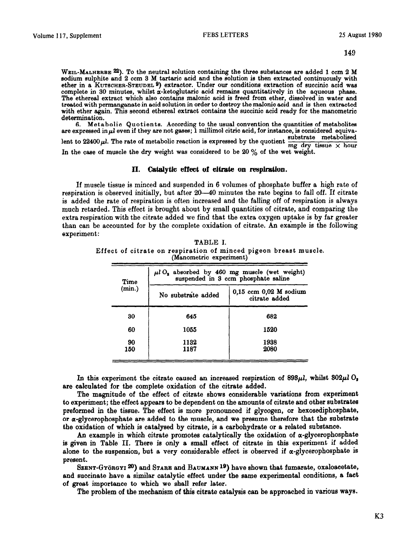**WEIL-MALHERBE 22). To the neutral solution containing the three substances are added 1 ccm 2 M eodium eulphite and 2 ccm 3 M tartaric acid and the eolution ie then extracted continuously with ether in a KUTBCHER-STEUDEL 9) extractor. Under our conditions extraction of succinic acid was complete in 30 minutes, whilst a-ketoglutaric acid remains quantitatively in the aqueous phase.**  The ethereal extract which also contains malonic acid is freed from ether, dissolved in water and **treated with permanganate in acid solution in order to destroy the malonic acid and is then extracted**  with ether again. This second ethereal extract contains the succinic acid ready for the manometric **determination.** 

**6. Metabolic Quotients. According to the usual convention the quantities of metabolitea**  are expressed in  $\mu$ l even if they are not gases; I millimol citric acid, for instance, is considered equivalent to 22400  $\mu$ . The rate of metabolic reaction is expressed by the quotient  $\frac{\text{substrate}}{\text{mg dry tissue}} \times \text{hour}$ In the case of muscle the dry weight was considered to be 20 % of the wet weight.

### **II.** Catalytic **effect of citrate on respiration.**

If muscle tissue is minced and suspended in 6 volumes of phosphate buffer a high rate of respiration is observed initially, but after 20—40 minutes the rate begins to fall off. If citrate is added the rate of respiration is often increased and the falling off of respiration is **always**  much retarded. This effect is brought about by small quantities of citrate, and comparing the extra respiration with the citrate added we find that the **extra** oxygen uptake is by far greater than can be accounted for by the complete oxidation of citrate. An example is the following experiment:

TABLE I. Effect of citrate on respiration of minced pigeon **breast muscle. (Manometric experiment)** 

| Time<br>(min.) | $\mu l O_2$ absorbed by 460 mg muscle (wet weight)<br>suspended in 3 ccm phosphate saline |                                             |  |
|----------------|-------------------------------------------------------------------------------------------|---------------------------------------------|--|
|                | No substrate added                                                                        | $0,15$ ccm $0,02$ M sodium<br>citrate added |  |
| 30             | 645                                                                                       | 682                                         |  |
| 60             | 1055                                                                                      | 1520                                        |  |
| 90<br>150      | 1132<br>1187                                                                              | 1938<br>2080                                |  |

In this experiment the citrate caused an increased respiration of  $898\mu l$ , whilst  $802\mu l$ , **are** calculated for the complete oxidation of the citrate added.

The magnitude of the effect of citrate shows considerable variations from experiment to experiment; the effect appears to be dependent on the amounts of citrate and other substrates preformed in the tissue. The effect is more pronounced if glycogen, or hexosediphosphate, or  $\alpha$ -glycerophosphate are added to the muscle, and we presume therefore that the substrate the oxidation of which is catalysed by citrate, is a carbohydrate or a related substance.

An example in which citrate promotes catalytically the oxidation of  $\alpha$ -glycerophosphate is given in Table II. There is only **a** small effect of citrate in this experiment if added alone to the suspension, but a very considerable effect is observed if  $\alpha$ -glycerophosphate is present.

SZENT-GYÖRGYI <sup>20</sup>) and STARE and BAUMANN<sup>19</sup>) have shown that fumarate, oxaloacetate, and succinate have a similar catalytic effect under the same experimental conditions, a fact of great importance to which we shall refer later.

The problem of the mechanism of this citrate catalysis can be approached in various **ways.**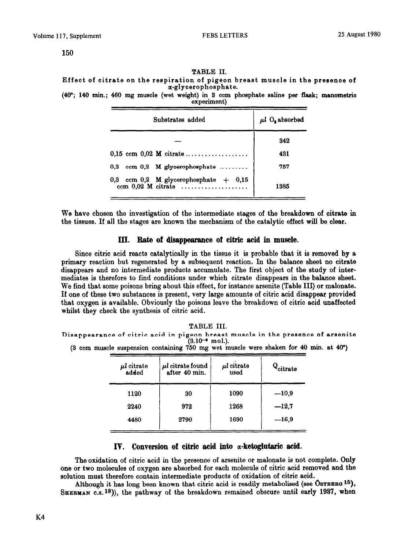TABLE II. Effect of citrate on the reepiration of pigeon breast muscle in the presenoe of a-glycerophoaphate.

(40"; 140 min.; 460 mg muscle (wet weight) in 3 ocm phosphate saline per flask; manometrio

exoeriment)

| Substrates added                                                         | $\mu l$ O, absorbed |  |
|--------------------------------------------------------------------------|---------------------|--|
|                                                                          | 342                 |  |
| $0.15$ ccm $0.02$ M citrate                                              | 431                 |  |
| ccm $0,2$ M glycerophosphate<br>0.3                                      | 757                 |  |
| 0,3 ccm 0,2 M glycerophosphate $+$ 0,15<br>ccm $0.02$ M citrate $\ldots$ | 1385                |  |

We have chosen the investigation of the intermediate stages of the breakdown of citrate in the tissues. If all the stages are known the mechanism of the catalytic effect will be clear.

### III. Rate of disappearance of citric acid in muscle.

Since citric acid reacts catalytically in the tissue it is probable that it is removed by a primary reaction but regenerated by a subsequent reaction. In the balance sheet no citrate disappears and no intermediate products accumulate. The first object of the study of intermediates is therefore to find conditions under which citrate disappears in the balance sheet. We find that some poisons bring about this effect, for instance arsenite (Table III) or malonate. If one of these two substances is present, very large amounts of citric acid disappear provided that oxygen is available. Obviously the poisons leave the breakdown of citric acid unaffected whilst they check the synthesis of citric acid.

**TABLE III.** 

**Disappearance of citric acid in pigeon breast muscle in the presence of areenite**   $(3.10^{-3} \text{ mol.})$ .

**(3 ccm muscle suspension containing 750 mg wet muscle were ehaken for 40 min. at 40")** 

| $\mu l$ citrate<br>added | $\mu l$ citrate found<br>after 40 min. | $\mu l$ citrate<br>used | $Q_{\text{citrate}}$ |
|--------------------------|----------------------------------------|-------------------------|----------------------|
| 1120                     | 30                                     | 1090                    | $-10,9$              |
| 2240                     | 972                                    | 1268                    | $-12.7$              |
| 4480                     | 2790                                   | 1690                    | $-16,9$              |

## IV. Conversion of citric acid into *a*-ketoglutaric acid.

The oxidation of citric acid in the presence of arsenite or malonate is not complete. Only one or two molecules of oxygen are absorbed for each molecule of citric acid removed and the solution must therefore contain intermediate products of oxidation of citric acid.

Although it has long been known that citric acid is readily metabolised (see ÖsTBERG 15), **SHERMAN c.s.18)),** the pathway of the breakdown remained obscure until early 1937, when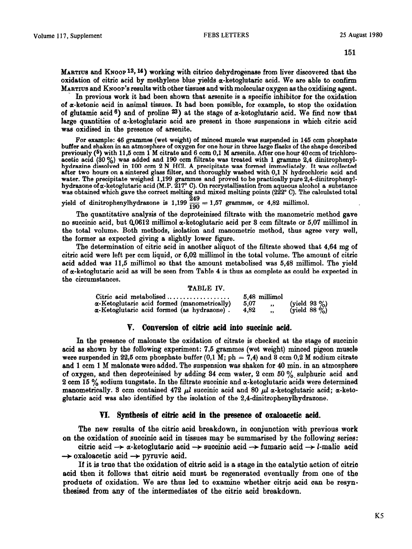**MARTIUS** and KNOOP<sup>13</sup>, <sup>14</sup>) working with citrico dehydrogenase from liver discovered that the oxidation of citric acid by methylene blue yields  $\alpha$ -ketoglutaric acid. We are able to confirm MARTIUS and KNOOP'S results with other tissues and with molecular oxygen as the oxidising agent.

. In previous work it had been shown that arsenite is a specific inhibitor for the oxidation of a-ketonic acid in animal tissues. It had been possible, for example, to stop the oxidation of glutamic acid  $6$ ) and of proline  $23$ ) at the stage of  $\alpha$ -ketoglutaric acid. We find now that large quantities of a-ketoglutaric acid are present in those suspensions in which citric acid was oxidised in the presence of srsenite.

For example: 46 grammes (wet weight) of minced muscle was suspended in 145 ccm phosphate buffer and **shaken in an atmosphere of oxygen for one hour in three large flasks of the shape described**  previously (5) with 11,5 ccm 1 M citrate and 6 ccm 0,1 M arsenite. After one hour 40 ccm of trichloroacetic acid (30 %) was added and 190 ccm filtrate was treated with 1 gramme 2,4 dinitropheny **h a f ter two hours on a sintered glass filter, and thoroughly washed with 0,l N hydrochloric acid and drazine dissolved in 100 ccm 2 N HCl. A precipitate was formed immediately. It was collected**  water. The precipitate weighed 1,199 grammes and proved to be practically pure 2,4-dinitropheny **hydrazone ofa-ketoglutaric acid (M.P. 217" C). On recrystallisation from aqueous alcohol a substance was obtained which gave the correct melting and mixed melting points (222" C). The calculated total** 

yield of dinitrophenylhydrazone is  $1,199 \frac{249}{190} = 1,57$  grammes, or  $4,82$  millimol.

The quantitative analysis of the deproteinised filtrste with the manometric method gave no succinic acid, but  $0.0612$  millimol  $\alpha$ -ketoglutaric acid per 3 ccm filtrate or 5,07 millimol in the total volume. Both methods, isolation and manometric method, thus agree very well, the former as expected giving a slightly lower figure.

The determination of citric acid in another aliquot of the filtrate showed that 4,64 mg of citric acid were left per ccm liquid, or 6,02 millimol in the total volume. The amount of citric acid added was 11,5 millimol so that the amount metabolised was 5,43 millimol. The yield of  $\alpha$ -ketoglutaric acid as will be seen from Table 4 is thus as complete as could be expected in the circumstances.

### **TABLE IV.**

| Citric acid metabolised $\ldots$ ,,,,,,,,,,,,,,,,,  | 5.48 millimol     |                              |
|-----------------------------------------------------|-------------------|------------------------------|
| $\alpha$ -Ketoglutaric acid formed (manometrically) | -5.07<br>$\cdot$  | (yield 93 %)<br>(yield 88 %) |
| $\alpha$ -Ketoglutaric acid formed (as hydrazone).  | 4.82<br>$\bullet$ |                              |

### **V. Conversion of citric acid into succinic acid.**

**In** the presence of malonate the oxidation of citrate is checked at the stage of succinic scid as shown by the following experiment: 7,5 grammes (wet weight) minced pigeon muscle were suspended in 22,5 ccm phosphate buffer  $(0,1 \text{ M}; \text{ ph } = 7,4)$  and 3 ccm  $0,2 \text{ M}$  sodium citrate and 1 ccm 1 M malonate were added. The suspension was shaken for 40 min. in an atmosphere of oxygen, and then deproteinised by adding  $34$  com water,  $2$  com  $50\%$ , sulphuric acid and 2 ccm 15  $\%$  sodium tungstate. In the filtrate succinic and  $\alpha$ -ketoglutaric acids were determined manometrically. 3 ccm contained 472  $\mu l$  succinic acid and 80  $\mu l$   $\alpha$ -ketoglutaric acid;  $\alpha$ -ketoglutaric acid was also identified by the isolation of the 2,4-dinitrophenylhydrazone.

### **VI. Synthesis of citric mid in the presence of oxaloacetic acid.**

**The new results of the citric acid breakdown, in conjunction with previous work on the oxidation of euocinic acid in tissues may be summarised by the following series:** 

citric acid  $\rightarrow \alpha$ -ketoglutaric acid  $\rightarrow$  succinic acid  $\rightarrow$  fumaric acid  $\rightarrow$  *l*-malic acid  $\rightarrow$  oxaloacetic acid  $\rightarrow$  pyruvic acid.

**If it is true that the oxidation of citric aoid is a stage in the catalytic action of citric acid then it follows that citric acid must be regenerated eventually from one of the products of oxidation. We are thus led to examine whether citric acid can be resynthesised from any of the intermediates of the citric acid breakdown.**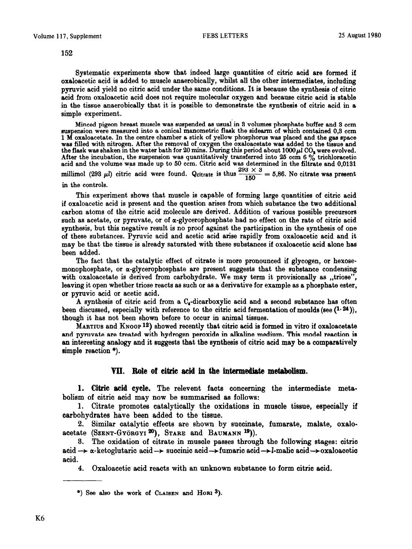**Systematic experiments** show that indeed large quantities of citric acid are formed if **oxaloacetic acid is** added to muscle anaerobically, whilst all the other intermediates, including pyruvic acid yield no citric acid under the same conditions. **It** is because the synthesis of citric acid from oxeloecetic acid does not require molecular oxygen and because citric acid is stable in the tissue anaerobically that it is possible to demonstrate the synthesis of citric acid in a simple experiment.

**Minced pigeon breast muscle was suspended 8s usual in 8 volumes phosphate buffer and 3 ccm suspension were measured into a conical manometric flask the sidearm of which contained 0,s ccm 1 M oxaloacetete. In the centre chamber** a **stick of yellow phosphorus was placed and the gas apace was filled with nitrogen. After the removal of oxygen the oxaloacetate was added to the tissue end**  the flask was shaken in the water bath for  $20$  mins. During this period about  $1000\mu l$  CO<sub>2</sub> were evolved After the incubation, the suspension was quantitatively transferred into 25 ccm 6  $\%$  trichloracetic **acid and the volume was made up to 50 ccm. Citric acid was determined in the filtrate and 0,0131 millimol** (293  $\mu$ *l*) citric acid were found. Qcitrate is thus  $\frac{293 \times 3}{150} = 5,86$ . No citrate was present **in the controls.** 

This experiment shows that muscle is capable of forming large quantities of citric acid if oxaloacetic acid is present and the question arises from which substance the two additional carbon atoms of the citric acid molecule are derived. Addition of various possible precursors such as acetate, or pyruvate, or of  $\alpha$ -glycerophosphate had no effect on the rate of citric acid synthesis, but this negative result is no proof against the participation in the synthesis of one of these substances. Pyruvic acid and acetic acid arise rapidly from oxeloacetic acid and it may be that the tissue is already saturated with these substances if oxaloacetic acid alone has been added.

The fact that the catalytic effect of citrate is more pronounced if glycogen, or hexosemonophosphate, or  $\alpha$ -glycerophosphate are present suggests that the substance condensing with oxaloacetate is derived from carbohydrate. We may term it provisionally as ,,triose", leaving it open whether triose reacts as such or as a derivative for example as a phosphate ester, or pyruvic acid or acetic acid.

A synthesis of citric acid from a  $C_{4}$ -dicarboxylic acid and a second substance has often been discussed, especially with reference to the citric acid fermentation of moulds (see  $(1.24)$ ), though it has not been shown before to **occur in animal tissues.** 

MARTIUS and KNOOP<sup>12</sup>) showed recently that citric acid is formed in vitro if oxaloacetate end pyruvate are treated with hydrogen peroxide in alkaline medium. This model reaction is an interesting analogy and it suggests that the synthesis of citric acid may be a comparatively simple reaction \*).

# **VII. Role of citric acid in the intermediate metabolism.**

**1. Citric acid cycle. The relevent faots concerning the intermediate metabolism of oitric aaid may now be summarised as follows:** 

**1. Citrate promotes catalytically the oxidations in musole tissue, espeoially if carbohydrates have been added to the tissue.** 

**2. Similar catalytic effects are shown by suocinate, fumarate, malate, oxalo**acetate (SZENT-GYÖRGYI 20), STARE and BAUMANN <sup>19</sup>)).

**3.** The oxidation of citrate in musole passes through the following stages: eitria acid  $\rightarrow \alpha$ -ketoglutaric acid $\rightarrow$  succinic acid $\rightarrow$ fumaric acid $\rightarrow$ l-malic acid $\rightarrow$ oxaloacetic acid.

4. Oxaloacetic acid reacts with an unknown substance to form citric acid.

**<sup>\*)</sup> See also the work of CLAISEN and HORI 8).**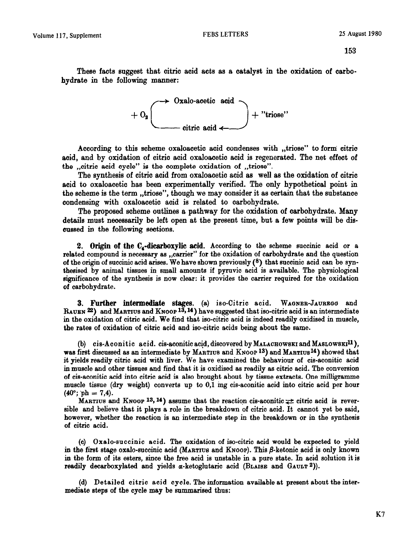**These** facts suggest that citric said acts as a oatalyet in the oxidation of carbohydrate in the following manner:



According to this scheme oxaloacetic acid condenses with "triose" to form citrio **aoid, and by oxidation of oitrio acid oxaloacetio aoid is regenerated. The net effeot of the ,,oitric acid cycle" is the aomplete oxidation of ,,triose".** 

**The synthesis of oitrio acid from oxaloaoetia acid as well as the oxidation of citric acid to oxaloacetic has been experimentally verified. The only hypothetical point in the scheme is the term ,,triose", though we may consider it as certain that the substanoe condensing with oxaloaoetio aoid is related to oarbohydrate.** 

**The proposed scheme outlines a pathway for the oxidation of aarbohydrate. Many details must neoessarily be left open at the present time, but a few points will be discussed in the following sections.** 

2. Origin of the  $C_4$ -dicarboxylic acid. According to the scheme succinic acid or a related compound is necessary as ,,csrrier" for the oxidation of carbohydrate and the question of the origin of succinic acid arises. We have shown previously  $(8)$  that succinic acid can be synthesised by animal tissues in small amounts if pyruvic acid is available. The physiological significance of the synthesis is now clear: it provides the carrier required for the oxidation of carbohydrate.

3. Further intermediate stages. (a) iso-Citric acid. WAGNER-JAUREGG and RAUEN <sup>22</sup>) and MARTIUS and KNOOP <sup>13</sup>, <sup>14</sup>) have suggested that iso-citric acid is an intermediate in the oxidation of citric acid. We find that iso-citric acid is indeed readily oxidised in muscle, the rates of oxidation of citric acid and iso-citric acids being about the same.

(b) cis-Aconitic acid. cis-aconitic acid, discovered by MALACHOWSKI and MASLOWSKI<sup>11</sup>), was first discussed as an intermediate by MARTIUS and KNOOP<sup>13</sup>) and MARTIUS<sup>14</sup>) showed that it yields readily citric acid with liver. We have examined the behaviour of cis-aconitic acid in muscle end other tissues and find that it is oxidised as readily as citric acid. The conversion of cis-aconitic acid into citric acid is also brought ebout by tissue extrects. One milligremme muscle tissue (dry weight) converts up to 0,1 mg cis-aconitic acid into citric acid per hour  $(40^{\circ}; \, \text{ph} = 7.4).$ 

MARTIUS and KNOOP 13, 14) assume that the reaction cis-aconitic  $\geq$  citric acid is reversible and believe that it plays a role in the breakdown of citric acid. It cannot yet be said, however, whether the reaction is an intermediate step in the breakdown or in the synthesis of citric acid.

(c) Oxelo-succinic acid. The oxidation of iso-citric acid would be expected to yield in the first stage oxalo-succinic acid (MARTIUS and KNOOP). This  $\beta$ -ketonic acid is only known in the form of its esters, since the free acid is unstable in a pure state. In acid solution it is readily decarboxylated and yields  $\alpha$ -ketoglutaric acid (BLAISE and GAULT 2)).

**(d)** Detailed citric acid cycle. The information available at present about the intermediate steps of the cycle may be summarised thus: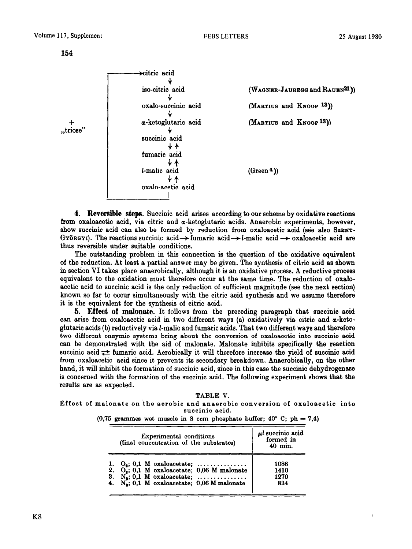

4. **Reversible steps.** Succinic acid arises according to our scheme by oxidative reactions from oxaloacetic acid, via citric and  $\alpha$ -ketoglutaric acids. Anaerobic experiments, however, show succinic acid can also be formed by reduction from oxaloacetic acid (see also SZENT-GYÖRGYI). The reactions succinic acid $\rightarrow$  fumaric acid $\rightarrow$  *l*-malic acid  $\rightarrow$  oxaloacetic acid are thus reversible under suitable conditions.

The outstanding problem in this connection is the question of the oxidative equivalent of the reduction. At least a partial answer may be given. The synthesis of citric acid as shown in section VI takes place anaerobically, although it is an oxidative process. A reductive process equivalent to the oxidation must therefore occur at the same time. The reduction of oxaloacetic acid to succinic acid is the only reduction of sufficient magnitude (see the next section) known so far to occur simultaneously with the citric acid synthesis and we assume therefore it is the equivalent for the synthesis of citric acid.

6. **Effect of malonate.** It follows from the preceding paragraph that succinic acid can arise from oxaloacetic acid in two different ways (a) oxidatively via citric and  $\alpha$ -ketoglutaric acids (b) reductively via 2-malic and fumaric acids. That two different ways and therefore two different enzymic systems bring about the conversion of oxaloacetic into succinic acid can be demonstrated with the aid of melonate. Malonate inhibits specifically the reaction succinic acid  $\neq$  fumaric acid. Aerobically it will therefore increase the yield of succinic acid from oxaloacetic acid since it prevents its secondary breakdown. Anaerobically, on the other hand, it will inhibit the formation of succinic acid, since in this case the succinic dehydrogenase is concerned with the formation of the suocinic acid. The following experiment shows that the results are as expected.

TABLE V. Effect of melonate **on 'the aerobic and anaerobic conversion of oxeloecetic into succinic acid.**  (0,75 grammes wet muscle in 3 ccm phosphate buffer; 40 $^{\circ}$  C; ph = 7,4)

| Experimental conditions<br>(final concentration of the substrates) | $\mu$ l succinic acid<br>formed in<br>$40$ min. |  |
|--------------------------------------------------------------------|-------------------------------------------------|--|
| $O_2$ ; 0,1 M oxaloacetate;                                        | 1086                                            |  |
| 2. $O_s$ ; 0,1 M oxaloacetate; 0,06 M malonate                     | 1410                                            |  |
| 3. $N_2$ ; 0,1 M oxaloacetate;                                     | 1270                                            |  |
| 4. $N_s$ ; 0,1 M oxaloacetate; 0,06 M malonate                     | 834                                             |  |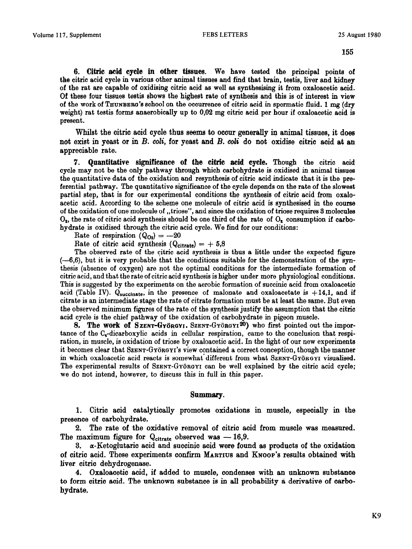*6.* **Citric acid cycle in other tissues. We** have tested the principal points of the citric acid cycle in verioue other animal tissues and find that brain, testie, liver and kidney of the rat are capable of oxidising citric acid 8s well as synthesising it from oxaloacetic acid. Of these four tissues testis shows the highest rate of synthesis snd this is of interest in view of the work of THUNBERG's school on the occurrence of citric acid in spermatic fluid. 1 mg (dry weight) rat testis forms anaerobicslly up to 0,02 mg citric acid per hour if oxaloscetio aoid is present.

Whilst the citric acid cycle thus seems to occur generally in animal tissues, it does **not exist in yeast or in** *B. coli,* **for yeast and** *B. coli* **do not** oxidise citric aoid at an appreciable rate.

7. Quantitative significance of **the citric acid cycle. Though** the citric acid cycle may not be the only pathway through which carbohydrate is oxidised in animal tissues the quantitative data of the oxidation and resynthesis of citric acid indicate that it is the preferential pathway. The quantitative significance of the cycle depends on the rate of the slowest partial step, that is for our experimental conditions the synthesis of citric acid from oxaloacetic acid. According to the scheme one molecule of citric acid is synthesised in the course of the oxidation of one molecule of ,,triose", and since the oxidation of triose requires 3 molecules  $O_2$ , the rate of citric acid synthesis should be one third of the rate of  $O_2$  consumption if carbohydrate is oxidised through the citric acid cycle. We find for our conditions:

Rate of respiration  $(Q_{O_2}) = -20$ 

Rate of citric acid synthesis  $(Q_{\text{citrate}}) = +5.8$ 

The observed rate of the citric acid synthesis is thus a little under the expected figure  $(-6,6)$ , but it is very probable that the conditions suitable for the demonstration of the synthesis (absence of oxygen) are not the optimal conditions for the intermediate formation of citric acid, and that the rate of citric acid synthesis is higher under more physiological conditions. This is suggested by the experiments on the aerobic formation of succinic acid from oxaloacetic acid (Table IV).  $Q_{\text{succinate}}$ , in the presence of malonate and oxaloacetate is  $+14.1$ , and if citrate is an intermediate stage the rate of citrate formation must be at least the same. But even the observed minimum figures of the rate of the synthesis justify the assumption that the citric acid cycle is the chief pathway of the oxidation of carbohydrate in pigeon muscle.

8. The work of SzENT-GYÖRGYI. SZENT-GYÖRGYI<sup>20</sup>) who first pointed out the importance of the  $C_{4}$ -dicarboxylic acids in cellular respiration, came to the conclusion that respiration, in muscle, is oxidation of triose by oxaloacetic acid. In the light of our new experiments it becomes clear that SZENT-GYBROYI'S view contained a correct conception, though the manner in which oxaloacetic acid reacts is somewhat different from what SzENT-GYÖRGYI visualised. The experimental results of SzENT-GYÖRGYI can be well explained by the citric acid cycle; we do not intend, however, to discuss this in full in this paper.

### **Summary.**

**1. Citric acid catalytically promotes oxidations in muscle, especially in the presence of carbohydrate.** 

2. The rate of the oxidative removal of citric acid from muscle was measured. The maximum figure for  $Q_{\text{citrate}}$  observed was  $-16.9$ .

3. a-Ketoglutaric acid and succinic acid were found as products of the oxidation of citric acid. **These experiments confirm** MARTIUS and KNOOP'S results obtained with liver oitric dehydrogenase.

4. Oxaloacetic acid, if added to muscle, oondenses with an unknown substance to form oitria soid. The unknown substance is in all probability a derivative of carbo**hydrate.**